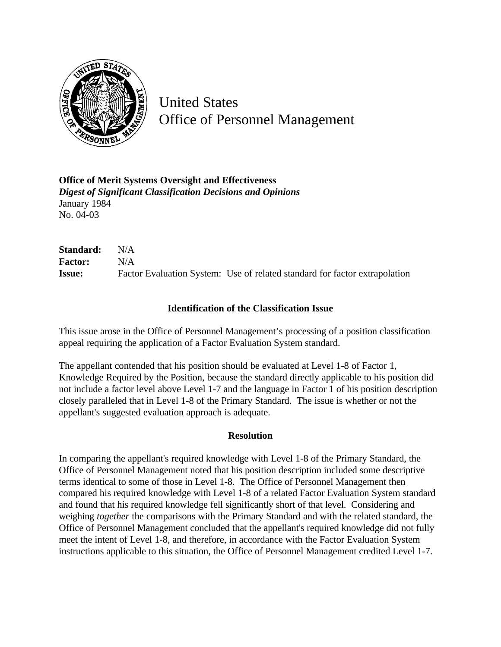

United States Office of Personnel Management

**Office of Merit Systems Oversight and Effectiveness** *Digest of Significant Classification Decisions and Opinions* January 1984 No. 04-03

**Standard:** N/A **Factor:** N/A **Issue:** Factor Evaluation System: Use of related standard for factor extrapolation

## **Identification of the Classification Issue**

This issue arose in the Office of Personnel Management's processing of a position classification appeal requiring the application of a Factor Evaluation System standard.

The appellant contended that his position should be evaluated at Level 1-8 of Factor 1, Knowledge Required by the Position, because the standard directly applicable to his position did not include a factor level above Level 1-7 and the language in Factor 1 of his position description closely paralleled that in Level 1-8 of the Primary Standard. The issue is whether or not the appellant's suggested evaluation approach is adequate.

## **Resolution**

In comparing the appellant's required knowledge with Level 1-8 of the Primary Standard, the Office of Personnel Management noted that his position description included some descriptive terms identical to some of those in Level 1-8. The Office of Personnel Management then compared his required knowledge with Level 1-8 of a related Factor Evaluation System standard and found that his required knowledge fell significantly short of that level. Considering and weighing *together* the comparisons with the Primary Standard and with the related standard, the Office of Personnel Management concluded that the appellant's required knowledge did not fully meet the intent of Level 1-8, and therefore, in accordance with the Factor Evaluation System instructions applicable to this situation, the Office of Personnel Management credited Level 1-7.